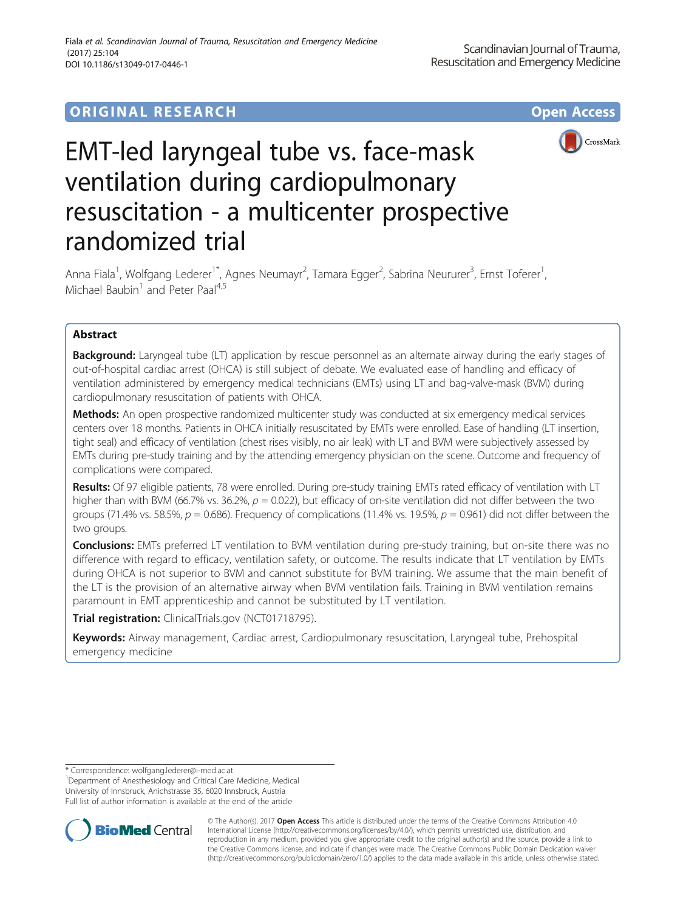## **ORIGINAL RESEARCH CONSUMING ACCESS**



# EMT-led laryngeal tube vs. face-mask ventilation during cardiopulmonary resuscitation - a multicenter prospective randomized trial

Anna Fiala<sup>1</sup>, Wolfgang Lederer<sup>1\*</sup>, Agnes Neumayr<sup>2</sup>, Tamara Egger<sup>2</sup>, Sabrina Neururer<sup>3</sup>, Ernst Toferer<sup>1</sup> , Michael Baubin<sup>1</sup> and Peter Paal<sup>4,5</sup>

## Abstract

**Background:** Laryngeal tube (LT) application by rescue personnel as an alternate airway during the early stages of out-of-hospital cardiac arrest (OHCA) is still subject of debate. We evaluated ease of handling and efficacy of ventilation administered by emergency medical technicians (EMTs) using LT and bag-valve-mask (BVM) during cardiopulmonary resuscitation of patients with OHCA.

Methods: An open prospective randomized multicenter study was conducted at six emergency medical services centers over 18 months. Patients in OHCA initially resuscitated by EMTs were enrolled. Ease of handling (LT insertion, tight seal) and efficacy of ventilation (chest rises visibly, no air leak) with LT and BVM were subjectively assessed by EMTs during pre-study training and by the attending emergency physician on the scene. Outcome and frequency of complications were compared.

Results: Of 97 eligible patients, 78 were enrolled. During pre-study training EMTs rated efficacy of ventilation with LT higher than with BVM (66.7% vs. 36.2%,  $p = 0.022$ ), but efficacy of on-site ventilation did not differ between the two groups (71.4% vs. 58.5%,  $p = 0.686$ ). Frequency of complications (11.4% vs. 19.5%,  $p = 0.961$ ) did not differ between the two groups.

Conclusions: EMTs preferred LT ventilation to BVM ventilation during pre-study training, but on-site there was no difference with regard to efficacy, ventilation safety, or outcome. The results indicate that LT ventilation by EMTs during OHCA is not superior to BVM and cannot substitute for BVM training. We assume that the main benefit of the LT is the provision of an alternative airway when BVM ventilation fails. Training in BVM ventilation remains paramount in EMT apprenticeship and cannot be substituted by LT ventilation.

Trial registration: [ClinicalTrials.gov](http://clinicaltrials.gov) (NCT01718795).

Keywords: Airway management, Cardiac arrest, Cardiopulmonary resuscitation, Laryngeal tube, Prehospital emergency medicine

<sup>1</sup> Department of Anesthesiology and Critical Care Medicine, Medical University of Innsbruck, Anichstrasse 35, 6020 Innsbruck, Austria Full list of author information is available at the end of the article



© The Author(s). 2017 **Open Access** This article is distributed under the terms of the Creative Commons Attribution 4.0 International License [\(http://creativecommons.org/licenses/by/4.0/](http://creativecommons.org/licenses/by/4.0/)), which permits unrestricted use, distribution, and reproduction in any medium, provided you give appropriate credit to the original author(s) and the source, provide a link to the Creative Commons license, and indicate if changes were made. The Creative Commons Public Domain Dedication waiver [\(http://creativecommons.org/publicdomain/zero/1.0/](http://creativecommons.org/publicdomain/zero/1.0/)) applies to the data made available in this article, unless otherwise stated.

<sup>\*</sup> Correspondence: [wolfgang.lederer@i-med.ac.at](mailto:wolfgang.lederer@i-med.ac.at) <sup>1</sup>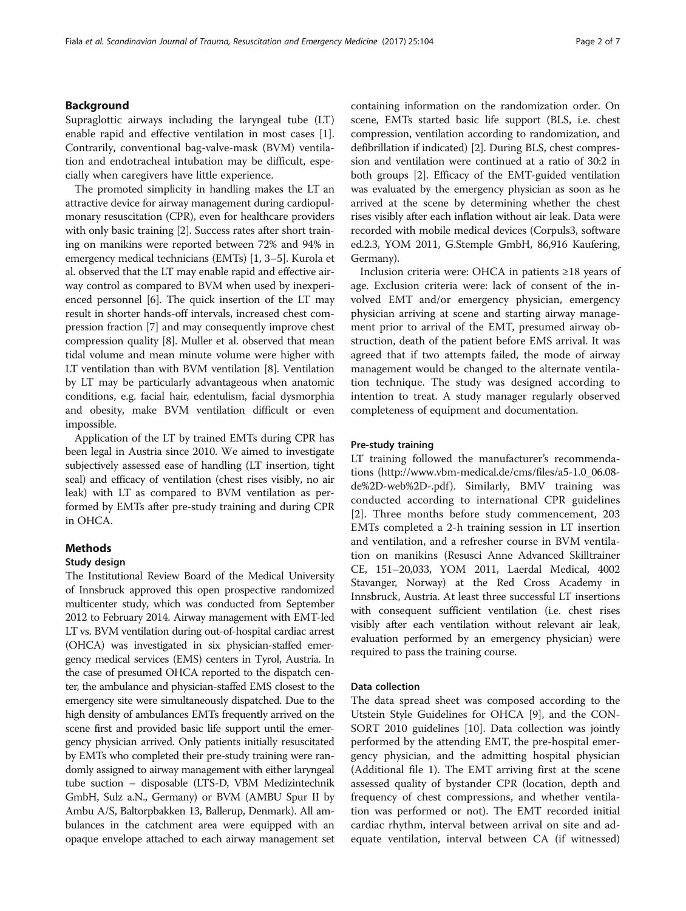## Background

Supraglottic airways including the laryngeal tube (LT) enable rapid and effective ventilation in most cases [\[1](#page-5-0)]. Contrarily, conventional bag-valve-mask (BVM) ventilation and endotracheal intubation may be difficult, especially when caregivers have little experience.

The promoted simplicity in handling makes the LT an attractive device for airway management during cardiopulmonary resuscitation (CPR), even for healthcare providers with only basic training [\[2](#page-5-0)]. Success rates after short training on manikins were reported between 72% and 94% in emergency medical technicians (EMTs) [\[1](#page-5-0), [3](#page-5-0)–[5](#page-5-0)]. Kurola et al. observed that the LT may enable rapid and effective airway control as compared to BVM when used by inexperienced personnel [[6](#page-6-0)]. The quick insertion of the LT may result in shorter hands-off intervals, increased chest compression fraction [[7\]](#page-6-0) and may consequently improve chest compression quality [\[8\]](#page-6-0). Muller et al. observed that mean tidal volume and mean minute volume were higher with LT ventilation than with BVM ventilation [\[8](#page-6-0)]. Ventilation by LT may be particularly advantageous when anatomic conditions, e.g. facial hair, edentulism, facial dysmorphia and obesity, make BVM ventilation difficult or even impossible.

Application of the LT by trained EMTs during CPR has been legal in Austria since 2010. We aimed to investigate subjectively assessed ease of handling (LT insertion, tight seal) and efficacy of ventilation (chest rises visibly, no air leak) with LT as compared to BVM ventilation as performed by EMTs after pre-study training and during CPR in OHCA.

## Methods

#### Study design

The Institutional Review Board of the Medical University of Innsbruck approved this open prospective randomized multicenter study, which was conducted from September 2012 to February 2014. Airway management with EMT-led LT vs. BVM ventilation during out-of-hospital cardiac arrest (OHCA) was investigated in six physician-staffed emergency medical services (EMS) centers in Tyrol, Austria. In the case of presumed OHCA reported to the dispatch center, the ambulance and physician-staffed EMS closest to the emergency site were simultaneously dispatched. Due to the high density of ambulances EMTs frequently arrived on the scene first and provided basic life support until the emergency physician arrived. Only patients initially resuscitated by EMTs who completed their pre-study training were randomly assigned to airway management with either laryngeal tube suction – disposable (LTS-D, VBM Medizintechnik GmbH, Sulz a.N., Germany) or BVM (AMBU Spur II by Ambu A/S, Baltorpbakken 13, Ballerup, Denmark). All ambulances in the catchment area were equipped with an opaque envelope attached to each airway management set containing information on the randomization order. On scene, EMTs started basic life support (BLS, i.e. chest compression, ventilation according to randomization, and defibrillation if indicated) [\[2\]](#page-5-0). During BLS, chest compression and ventilation were continued at a ratio of 30:2 in both groups [\[2](#page-5-0)]. Efficacy of the EMT-guided ventilation was evaluated by the emergency physician as soon as he arrived at the scene by determining whether the chest rises visibly after each inflation without air leak. Data were recorded with mobile medical devices (Corpuls3, software ed.2.3, YOM 2011, G.Stemple GmbH, 86,916 Kaufering, Germany).

Inclusion criteria were: OHCA in patients ≥18 years of age. Exclusion criteria were: lack of consent of the involved EMT and/or emergency physician, emergency physician arriving at scene and starting airway management prior to arrival of the EMT, presumed airway obstruction, death of the patient before EMS arrival. It was agreed that if two attempts failed, the mode of airway management would be changed to the alternate ventilation technique. The study was designed according to intention to treat. A study manager regularly observed completeness of equipment and documentation.

## Pre-study training

LT training followed the manufacturer's recommendations [\(http://www.vbm-medical.de/cms/files/a5-1.0\\_06.08](http://www.vbm-medical.de/cms/files/a5-1.0_06.08-de%2D-web%2D-.pdf) [de%2D-web%2D-.pdf](http://www.vbm-medical.de/cms/files/a5-1.0_06.08-de%2D-web%2D-.pdf)). Similarly, BMV training was conducted according to international CPR guidelines [[2\]](#page-5-0). Three months before study commencement, 203 EMTs completed a 2-h training session in LT insertion and ventilation, and a refresher course in BVM ventilation on manikins (Resusci Anne Advanced Skilltrainer CE, 151–20,033, YOM 2011, Laerdal Medical, 4002 Stavanger, Norway) at the Red Cross Academy in Innsbruck, Austria. At least three successful LT insertions with consequent sufficient ventilation (i.e. chest rises visibly after each ventilation without relevant air leak, evaluation performed by an emergency physician) were required to pass the training course.

## Data collection

The data spread sheet was composed according to the Utstein Style Guidelines for OHCA [\[9](#page-6-0)], and the CON-SORT 2010 guidelines [\[10](#page-6-0)]. Data collection was jointly performed by the attending EMT, the pre-hospital emergency physician, and the admitting hospital physician (Additional file [1\)](#page-5-0). The EMT arriving first at the scene assessed quality of bystander CPR (location, depth and frequency of chest compressions, and whether ventilation was performed or not). The EMT recorded initial cardiac rhythm, interval between arrival on site and adequate ventilation, interval between CA (if witnessed)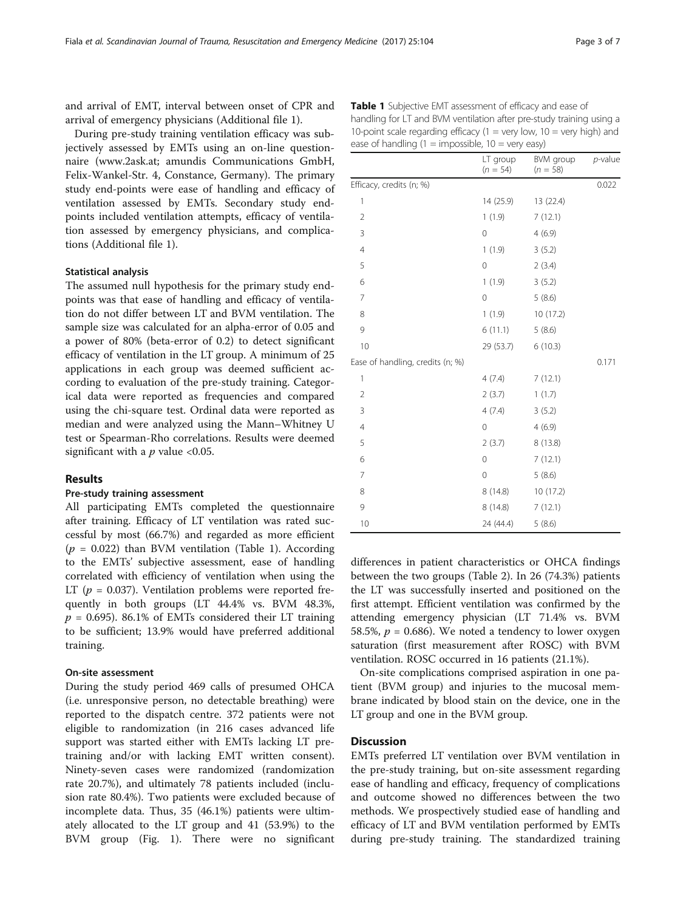and arrival of EMT, interval between onset of CPR and arrival of emergency physicians (Additional file [1](#page-5-0)).

During pre-study training ventilation efficacy was subjectively assessed by EMTs using an on-line questionnaire ([www.2ask.at](http://www.2ask.at); amundis Communications GmbH, Felix-Wankel-Str. 4, Constance, Germany). The primary study end-points were ease of handling and efficacy of ventilation assessed by EMTs. Secondary study endpoints included ventilation attempts, efficacy of ventilation assessed by emergency physicians, and complications (Additional file [1](#page-5-0)).

## Statistical analysis

The assumed null hypothesis for the primary study endpoints was that ease of handling and efficacy of ventilation do not differ between LT and BVM ventilation. The sample size was calculated for an alpha-error of 0.05 and a power of 80% (beta-error of 0.2) to detect significant efficacy of ventilation in the LT group. A minimum of 25 applications in each group was deemed sufficient according to evaluation of the pre-study training. Categorical data were reported as frequencies and compared using the chi-square test. Ordinal data were reported as median and were analyzed using the Mann–Whitney U test or Spearman-Rho correlations. Results were deemed significant with a  $p$  value <0.05.

#### Results

## Pre-study training assessment

All participating EMTs completed the questionnaire after training. Efficacy of LT ventilation was rated successful by most (66.7%) and regarded as more efficient  $(p = 0.022)$  than BVM ventilation (Table 1). According to the EMTs' subjective assessment, ease of handling correlated with efficiency of ventilation when using the LT ( $p = 0.037$ ). Ventilation problems were reported frequently in both groups (LT 44.4% vs. BVM 48.3%,  $p = 0.695$ ). 86.1% of EMTs considered their LT training to be sufficient; 13.9% would have preferred additional training.

## On-site assessment

During the study period 469 calls of presumed OHCA (i.e. unresponsive person, no detectable breathing) were reported to the dispatch centre. 372 patients were not eligible to randomization (in 216 cases advanced life support was started either with EMTs lacking LT pretraining and/or with lacking EMT written consent). Ninety-seven cases were randomized (randomization rate 20.7%), and ultimately 78 patients included (inclusion rate 80.4%). Two patients were excluded because of incomplete data. Thus, 35 (46.1%) patients were ultimately allocated to the LT group and 41 (53.9%) to the BVM group (Fig. [1\)](#page-3-0). There were no significant

|                                  | ease of handling $(I = \text{impossible}, \ IU = \text{very easy})$ |                         |            |  |
|----------------------------------|---------------------------------------------------------------------|-------------------------|------------|--|
|                                  | LT group<br>$(n = 54)$                                              | BVM group<br>$(n = 58)$ | $p$ -value |  |
| Efficacy, credits (n; %)         |                                                                     |                         | 0.022      |  |
| 1                                | 14 (25.9)                                                           | 13 (22.4)               |            |  |
| $\overline{2}$                   | 1(1.9)                                                              | 7(12.1)                 |            |  |
| 3                                | $\mathbf 0$                                                         | 4(6.9)                  |            |  |
| 4                                | 1(1.9)                                                              | 3(5.2)                  |            |  |
| 5                                | $\mathbf 0$                                                         | 2(3.4)                  |            |  |
| 6                                | 1(1.9)                                                              | 3(5.2)                  |            |  |
| $\overline{7}$                   | $\mathbf 0$                                                         | 5(8.6)                  |            |  |
| 8                                | 1(1.9)                                                              | 10 (17.2)               |            |  |
| 9                                | 6(11.1)                                                             | 5(8.6)                  |            |  |
| 10                               | 29 (53.7)                                                           | 6(10.3)                 |            |  |
| Ease of handling, credits (n; %) |                                                                     |                         | 0.171      |  |
| 1                                | 4(7.4)                                                              | 7(12.1)                 |            |  |
| $\overline{2}$                   | 2(3.7)                                                              | 1(1.7)                  |            |  |
| 3                                | 4(7.4)                                                              | 3(5.2)                  |            |  |
| 4                                | $\mathbf 0$                                                         | 4(6.9)                  |            |  |
| 5                                | 2(3.7)                                                              | 8 (13.8)                |            |  |
| 6                                | $\mathbf 0$                                                         | 7(12.1)                 |            |  |
| $\overline{7}$                   | $\mathbf 0$                                                         | 5(8.6)                  |            |  |
| 8                                | 8(14.8)                                                             | 10 (17.2)               |            |  |
| 9                                | 8(14.8)                                                             | 7(12.1)                 |            |  |
| 10                               | 24 (44.4)                                                           | 5(8.6)                  |            |  |

differences in patient characteristics or OHCA findings between the two groups (Table [2](#page-4-0)). In 26 (74.3%) patients the LT was successfully inserted and positioned on the first attempt. Efficient ventilation was confirmed by the attending emergency physician (LT 71.4% vs. BVM 58.5%,  $p = 0.686$ ). We noted a tendency to lower oxygen saturation (first measurement after ROSC) with BVM ventilation. ROSC occurred in 16 patients (21.1%).

On-site complications comprised aspiration in one patient (BVM group) and injuries to the mucosal membrane indicated by blood stain on the device, one in the LT group and one in the BVM group.

## **Discussion**

EMTs preferred LT ventilation over BVM ventilation in the pre-study training, but on-site assessment regarding ease of handling and efficacy, frequency of complications and outcome showed no differences between the two methods. We prospectively studied ease of handling and efficacy of LT and BVM ventilation performed by EMTs during pre-study training. The standardized training

| Table 1 Subjective EMT assessment of efficacy and ease of            |
|----------------------------------------------------------------------|
| handling for LT and BVM ventilation after pre-study training using a |
| 10-point scale regarding efficacy (1 = very low, 10 = very high) and |
| ease of handling $(1 = \text{impossible}, 10 = \text{very easy})$    |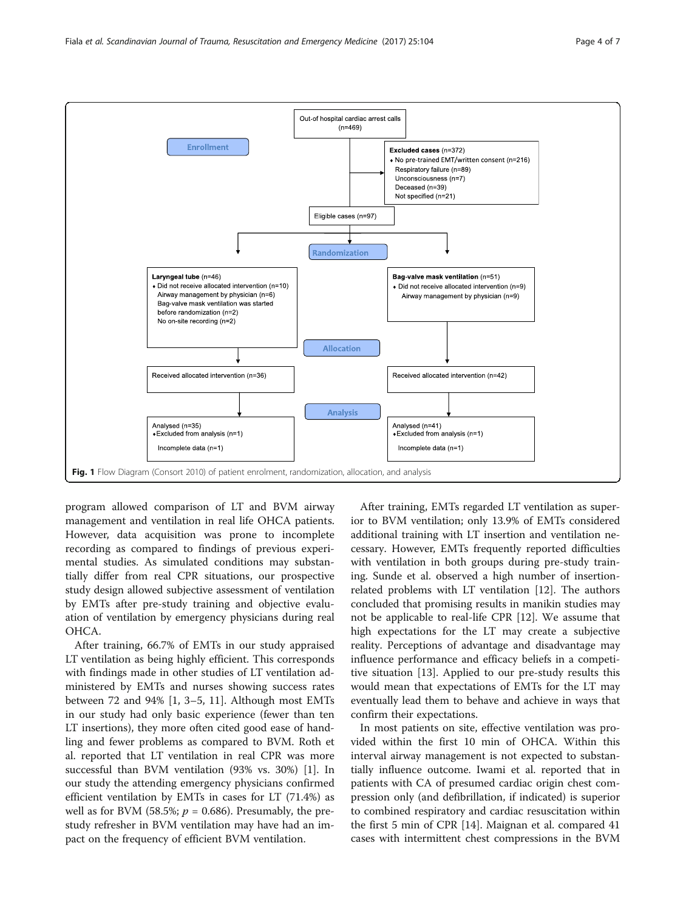<span id="page-3-0"></span>

program allowed comparison of LT and BVM airway management and ventilation in real life OHCA patients. However, data acquisition was prone to incomplete recording as compared to findings of previous experimental studies. As simulated conditions may substantially differ from real CPR situations, our prospective study design allowed subjective assessment of ventilation by EMTs after pre-study training and objective evaluation of ventilation by emergency physicians during real OHCA.

After training, 66.7% of EMTs in our study appraised LT ventilation as being highly efficient. This corresponds with findings made in other studies of LT ventilation administered by EMTs and nurses showing success rates between 72 and 94% [\[1](#page-5-0), [3](#page-5-0)–[5,](#page-5-0) [11](#page-6-0)]. Although most EMTs in our study had only basic experience (fewer than ten LT insertions), they more often cited good ease of handling and fewer problems as compared to BVM. Roth et al. reported that LT ventilation in real CPR was more successful than BVM ventilation (93% vs. 30%) [[1\]](#page-5-0). In our study the attending emergency physicians confirmed efficient ventilation by EMTs in cases for LT (71.4%) as well as for BVM (58.5%;  $p = 0.686$ ). Presumably, the prestudy refresher in BVM ventilation may have had an impact on the frequency of efficient BVM ventilation.

After training, EMTs regarded LT ventilation as superior to BVM ventilation; only 13.9% of EMTs considered additional training with LT insertion and ventilation necessary. However, EMTs frequently reported difficulties with ventilation in both groups during pre-study training. Sunde et al. observed a high number of insertionrelated problems with LT ventilation [[12](#page-6-0)]. The authors concluded that promising results in manikin studies may not be applicable to real-life CPR [[12\]](#page-6-0). We assume that high expectations for the LT may create a subjective reality. Perceptions of advantage and disadvantage may influence performance and efficacy beliefs in a competitive situation [[13](#page-6-0)]. Applied to our pre-study results this would mean that expectations of EMTs for the LT may eventually lead them to behave and achieve in ways that confirm their expectations.

In most patients on site, effective ventilation was provided within the first 10 min of OHCA. Within this interval airway management is not expected to substantially influence outcome. Iwami et al. reported that in patients with CA of presumed cardiac origin chest compression only (and defibrillation, if indicated) is superior to combined respiratory and cardiac resuscitation within the first 5 min of CPR [[14\]](#page-6-0). Maignan et al. compared 41 cases with intermittent chest compressions in the BVM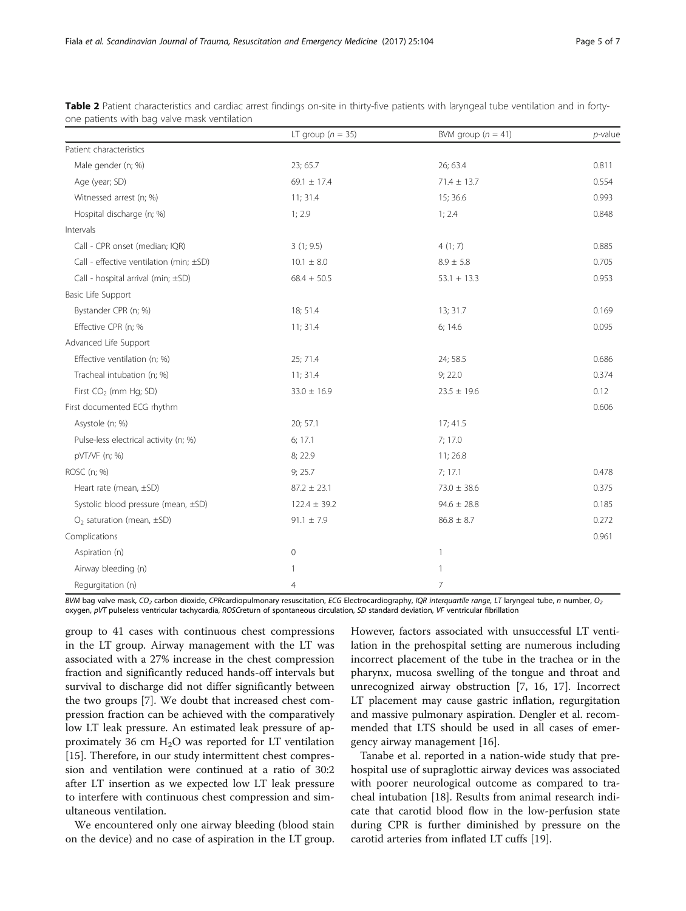|                                         | LT group ( $n = 35$ ) | BVM group $(n = 41)$ | $p$ -value |
|-----------------------------------------|-----------------------|----------------------|------------|
| Patient characteristics                 |                       |                      |            |
| Male gender (n; %)                      | 23; 65.7              | 26; 63.4             | 0.811      |
| Age (year; SD)                          | 69.1 $\pm$ 17.4       | $71.4 \pm 13.7$      | 0.554      |
| Witnessed arrest (n; %)                 | 11; 31.4              | 15; 36.6             | 0.993      |
| Hospital discharge (n; %)               | 1; 2.9                | 1; 2.4               | 0.848      |
| Intervals                               |                       |                      |            |
| Call - CPR onset (median; IQR)          | 3(1; 9.5)             | 4(1; 7)              | 0.885      |
| Call - effective ventilation (min; ±SD) | $10.1 \pm 8.0$        | $8.9 \pm 5.8$        | 0.705      |
| Call - hospital arrival (min; ±SD)      | $68.4 + 50.5$         | $53.1 + 13.3$        | 0.953      |
| Basic Life Support                      |                       |                      |            |
| Bystander CPR (n; %)                    | 18; 51.4              | 13; 31.7             | 0.169      |
| Effective CPR (n; %                     | 11; 31.4              | 6:14.6               | 0.095      |
| Advanced Life Support                   |                       |                      |            |
| Effective ventilation (n; %)            | 25; 71.4              | 24; 58.5             | 0.686      |
| Tracheal intubation (n; %)              | 11; 31.4              | 9;22.0               | 0.374      |
| First CO <sub>2</sub> (mm Hg; SD)       | $33.0 \pm 16.9$       | $23.5 \pm 19.6$      | 0.12       |
| First documented ECG rhythm             |                       |                      | 0.606      |
| Asystole (n; %)                         | 20; 57.1              | 17; 41.5             |            |
| Pulse-less electrical activity (n; %)   | 6; 17.1               | 7;17.0               |            |
| pVT/VF (n; %)                           | 8; 22.9               | 11; 26.8             |            |
| ROSC (n; %)                             | 9; 25.7               | 7:17.1               | 0.478      |
| Heart rate (mean, ±SD)                  | $87.2 \pm 23.1$       | $73.0 \pm 38.6$      | 0.375      |
| Systolic blood pressure (mean, ±SD)     | $122.4 \pm 39.2$      | $94.6 \pm 28.8$      | 0.185      |
| $O2$ saturation (mean, $\pm$ SD)        | $91.1 \pm 7.9$        | $86.8 \pm 8.7$       | 0.272      |
| Complications                           |                       |                      | 0.961      |
| Aspiration (n)                          | 0                     | $\mathbf{1}$         |            |
| Airway bleeding (n)                     | 1                     | $\mathbf{1}$         |            |
| Regurgitation (n)                       | $\overline{4}$        | 7                    |            |

<span id="page-4-0"></span>Table 2 Patient characteristics and cardiac arrest findings on-site in thirty-five patients with laryngeal tube ventilation and in fortyone patients with bag valve mask ventilation

BVM bag valve mask, CO<sub>2</sub> carbon dioxide, CPRcardiopulmonary resuscitation, ECG Electrocardiography, IQR interquartile range, LT laryngeal tube, n number, O<sub>2</sub> oxygen, pVT pulseless ventricular tachycardia, ROSCreturn of spontaneous circulation, SD standard deviation, VF ventricular fibrillation

group to 41 cases with continuous chest compressions in the LT group. Airway management with the LT was associated with a 27% increase in the chest compression fraction and significantly reduced hands-off intervals but survival to discharge did not differ significantly between the two groups [[7\]](#page-6-0). We doubt that increased chest compression fraction can be achieved with the comparatively low LT leak pressure. An estimated leak pressure of approximately 36 cm  $H_2O$  was reported for LT ventilation [[15\]](#page-6-0). Therefore, in our study intermittent chest compression and ventilation were continued at a ratio of 30:2 after LT insertion as we expected low LT leak pressure to interfere with continuous chest compression and simultaneous ventilation.

We encountered only one airway bleeding (blood stain on the device) and no case of aspiration in the LT group.

However, factors associated with unsuccessful LT ventilation in the prehospital setting are numerous including incorrect placement of the tube in the trachea or in the pharynx, mucosa swelling of the tongue and throat and unrecognized airway obstruction [\[7](#page-6-0), [16](#page-6-0), [17\]](#page-6-0). Incorrect LT placement may cause gastric inflation, regurgitation and massive pulmonary aspiration. Dengler et al. recommended that LTS should be used in all cases of emergency airway management [[16\]](#page-6-0).

Tanabe et al. reported in a nation-wide study that prehospital use of supraglottic airway devices was associated with poorer neurological outcome as compared to tracheal intubation [[18](#page-6-0)]. Results from animal research indicate that carotid blood flow in the low-perfusion state during CPR is further diminished by pressure on the carotid arteries from inflated LT cuffs [\[19\]](#page-6-0).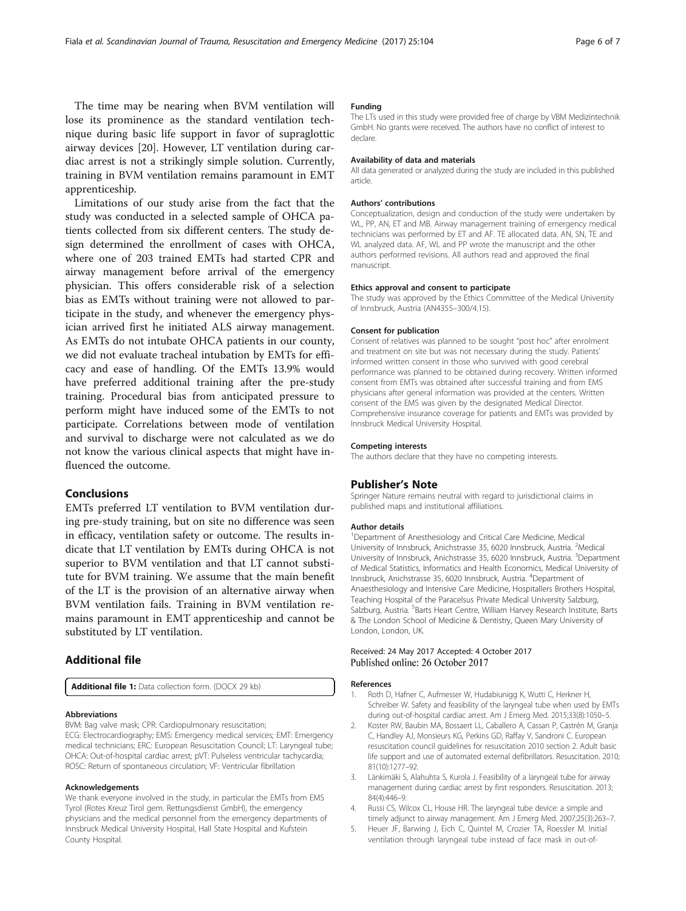<span id="page-5-0"></span>The time may be nearing when BVM ventilation will lose its prominence as the standard ventilation technique during basic life support in favor of supraglottic airway devices [[20\]](#page-6-0). However, LT ventilation during cardiac arrest is not a strikingly simple solution. Currently, training in BVM ventilation remains paramount in EMT apprenticeship.

Limitations of our study arise from the fact that the study was conducted in a selected sample of OHCA patients collected from six different centers. The study design determined the enrollment of cases with OHCA, where one of 203 trained EMTs had started CPR and airway management before arrival of the emergency physician. This offers considerable risk of a selection bias as EMTs without training were not allowed to participate in the study, and whenever the emergency physician arrived first he initiated ALS airway management. As EMTs do not intubate OHCA patients in our county, we did not evaluate tracheal intubation by EMTs for efficacy and ease of handling. Of the EMTs 13.9% would have preferred additional training after the pre-study training. Procedural bias from anticipated pressure to perform might have induced some of the EMTs to not participate. Correlations between mode of ventilation and survival to discharge were not calculated as we do not know the various clinical aspects that might have influenced the outcome.

## Conclusions

EMTs preferred LT ventilation to BVM ventilation during pre-study training, but on site no difference was seen in efficacy, ventilation safety or outcome. The results indicate that LT ventilation by EMTs during OHCA is not superior to BVM ventilation and that LT cannot substitute for BVM training. We assume that the main benefit of the LT is the provision of an alternative airway when BVM ventilation fails. Training in BVM ventilation remains paramount in EMT apprenticeship and cannot be substituted by LT ventilation.

## Additional file

[Additional file 1:](dx.doi.org/10.1186/s13049-017-0446-1) Data collection form. (DOCX 29 kb)

#### Abbreviations

BVM: Bag valve mask; CPR: Cardiopulmonary resuscitation;

ECG: Electrocardiography; EMS: Emergency medical services; EMT: Emergency medical technicians; ERC: European Resuscitation Council; LT: Laryngeal tube; OHCA: Out-of-hospital cardiac arrest; pVT: Pulseless ventricular tachycardia; ROSC: Return of spontaneous circulation; VF: Ventricular fibrillation

#### Acknowledgements

We thank everyone involved in the study, in particular the EMTs from EMS Tyrol (Rotes Kreuz Tirol gem. Rettungsdienst GmbH), the emergency physicians and the medical personnel from the emergency departments of Innsbruck Medical University Hospital, Hall State Hospital and Kufstein County Hospital.

#### Funding

The LTs used in this study were provided free of charge by VBM Medizintechnik GmbH. No grants were received. The authors have no conflict of interest to declare.

#### Availability of data and materials

All data generated or analyzed during the study are included in this published article.

#### Authors' contributions

Conceptualization, design and conduction of the study were undertaken by WL, PP, AN, ET and MB. Airway management training of emergency medical technicians was performed by ET and AF. TE allocated data. AN, SN, TE and WL analyzed data. AF, WL and PP wrote the manuscript and the other authors performed revisions. All authors read and approved the final manuscript.

#### Ethics approval and consent to participate

The study was approved by the Ethics Committee of the Medical University of Innsbruck, Austria (AN4355–300/4.15).

#### Consent for publication

Consent of relatives was planned to be sought "post hoc" after enrolment and treatment on site but was not necessary during the study. Patients' informed written consent in those who survived with good cerebral performance was planned to be obtained during recovery. Written informed consent from EMTs was obtained after successful training and from EMS physicians after general information was provided at the centers. Written consent of the EMS was given by the designated Medical Director. Comprehensive insurance coverage for patients and EMTs was provided by Innsbruck Medical University Hospital.

#### Competing interests

The authors declare that they have no competing interests.

#### Publisher's Note

Springer Nature remains neutral with regard to jurisdictional claims in published maps and institutional affiliations.

#### Author details

<sup>1</sup>Department of Anesthesiology and Critical Care Medicine, Medical University of Innsbruck, Anichstrasse 35, 6020 Innsbruck, Austria. <sup>2</sup>Medical University of Innsbruck, Anichstrasse 35, 6020 Innsbruck, Austria. <sup>3</sup>Department of Medical Statistics, Informatics and Health Economics, Medical University of Innsbruck, Anichstrasse 35, 6020 Innsbruck, Austria. <sup>4</sup>Department of Anaesthesiology and Intensive Care Medicine, Hospitallers Brothers Hospital, Teaching Hospital of the Paracelsus Private Medical University Salzburg, Salzburg, Austria. <sup>5</sup>Barts Heart Centre, William Harvey Research Institute, Barts & The London School of Medicine & Dentistry, Queen Mary University of London, London, UK.

#### Received: 24 May 2017 Accepted: 4 October 2017 Published online: 26 October 2017

#### References

- 1. Roth D, Hafner C, Aufmesser W, Hudabiunigg K, Wutti C, Herkner H, Schreiber W. Safety and feasibility of the laryngeal tube when used by EMTs during out-of-hospital cardiac arrest. Am J Emerg Med. 2015;33(8):1050–5.
- 2. Koster RW, Baubin MA, Bossaert LL, Caballero A, Cassan P, Castrén M, Granja C, Handley AJ, Monsieurs KG, Perkins GD, Raffay V, Sandroni C. European resuscitation council guidelines for resuscitation 2010 section 2. Adult basic life support and use of automated external defibrillators. Resuscitation. 2010; 81(10):1277–92.
- 3. Länkimäki S, Alahuhta S, Kurola J. Feasibility of a laryngeal tube for airway management during cardiac arrest by first responders. Resuscitation. 2013; 84(4):446–9.
- 4. Russi CS, Wilcox CL, House HR. The laryngeal tube device: a simple and timely adjunct to airway management. Am J Emerg Med. 2007;25(3):263–7.
- 5. Heuer JF, Barwing J, Eich C, Quintel M, Crozier TA, Roessler M. Initial ventilation through laryngeal tube instead of face mask in out-of-